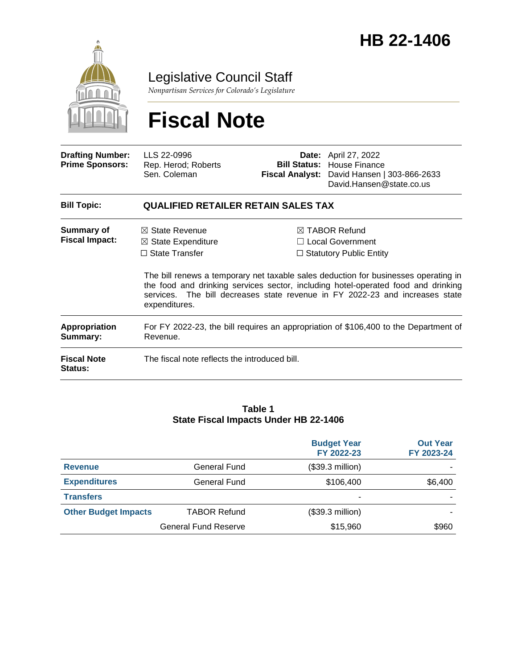

Legislative Council Staff

*Nonpartisan Services for Colorado's Legislature*

# **Fiscal Note**

| <b>Drafting Number:</b><br><b>Prime Sponsors:</b> | LLS 22-0996<br>Rep. Herod; Roberts<br>Sen. Coleman                                                   | <b>Bill Status:</b> | <b>Date:</b> April 27, 2022<br>House Finance<br>Fiscal Analyst: David Hansen   303-866-2633<br>David.Hansen@state.co.us                                                                                                                                                                                                                           |  |  |  |
|---------------------------------------------------|------------------------------------------------------------------------------------------------------|---------------------|---------------------------------------------------------------------------------------------------------------------------------------------------------------------------------------------------------------------------------------------------------------------------------------------------------------------------------------------------|--|--|--|
| <b>Bill Topic:</b>                                | <b>QUALIFIED RETAILER RETAIN SALES TAX</b>                                                           |                     |                                                                                                                                                                                                                                                                                                                                                   |  |  |  |
| Summary of<br><b>Fiscal Impact:</b>               | $\boxtimes$ State Revenue<br>$\boxtimes$ State Expenditure<br>$\Box$ State Transfer<br>expenditures. |                     | $\boxtimes$ TABOR Refund<br>$\Box$ Local Government<br>$\Box$ Statutory Public Entity<br>The bill renews a temporary net taxable sales deduction for businesses operating in<br>the food and drinking services sector, including hotel-operated food and drinking<br>services. The bill decreases state revenue in FY 2022-23 and increases state |  |  |  |
| Appropriation<br>Summary:                         | For FY 2022-23, the bill requires an appropriation of \$106,400 to the Department of<br>Revenue.     |                     |                                                                                                                                                                                                                                                                                                                                                   |  |  |  |
| <b>Fiscal Note</b><br><b>Status:</b>              | The fiscal note reflects the introduced bill.                                                        |                     |                                                                                                                                                                                                                                                                                                                                                   |  |  |  |

#### **Table 1 State Fiscal Impacts Under HB 22-1406**

|                             |                             | <b>Budget Year</b><br>FY 2022-23 | <b>Out Year</b><br>FY 2023-24 |
|-----------------------------|-----------------------------|----------------------------------|-------------------------------|
| <b>Revenue</b>              | General Fund                | (\$39.3 million)                 |                               |
| <b>Expenditures</b>         | General Fund                | \$106,400                        | \$6,400                       |
| <b>Transfers</b>            |                             | ٠                                |                               |
| <b>Other Budget Impacts</b> | <b>TABOR Refund</b>         | (\$39.3 million)                 |                               |
|                             | <b>General Fund Reserve</b> | \$15,960                         | \$960                         |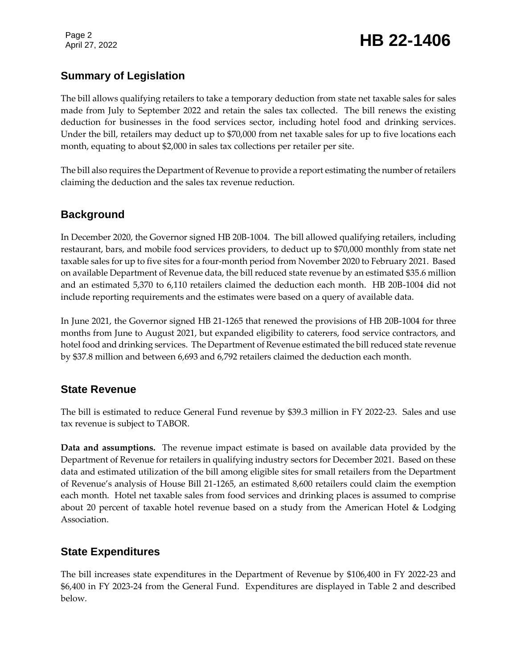## **Summary of Legislation**

The bill allows qualifying retailers to take a temporary deduction from state net taxable sales for sales made from July to September 2022 and retain the sales tax collected. The bill renews the existing deduction for businesses in the food services sector, including hotel food and drinking services. Under the bill, retailers may deduct up to \$70,000 from net taxable sales for up to five locations each month, equating to about \$2,000 in sales tax collections per retailer per site.

The bill also requires the Department of Revenue to provide a report estimating the number of retailers claiming the deduction and the sales tax revenue reduction.

## **Background**

In December 2020, the Governor signed HB 20B-1004. The bill allowed qualifying retailers, including restaurant, bars, and mobile food services providers, to deduct up to \$70,000 monthly from state net taxable sales for up to five sites for a four-month period from November 2020 to February 2021. Based on available Department of Revenue data, the bill reduced state revenue by an estimated \$35.6 million and an estimated 5,370 to 6,110 retailers claimed the deduction each month. HB 20B-1004 did not include reporting requirements and the estimates were based on a query of available data.

In June 2021, the Governor signed HB 21-1265 that renewed the provisions of HB 20B-1004 for three months from June to August 2021, but expanded eligibility to caterers, food service contractors, and hotel food and drinking services. The Department of Revenue estimated the bill reduced state revenue by \$37.8 million and between 6,693 and 6,792 retailers claimed the deduction each month.

## **State Revenue**

The bill is estimated to reduce General Fund revenue by \$39.3 million in FY 2022-23. Sales and use tax revenue is subject to TABOR.

**Data and assumptions.** The revenue impact estimate is based on available data provided by the Department of Revenue for retailers in qualifying industry sectors for December 2021. Based on these data and estimated utilization of the bill among eligible sites for small retailers from the Department of Revenue's analysis of House Bill 21-1265, an estimated 8,600 retailers could claim the exemption each month. Hotel net taxable sales from food services and drinking places is assumed to comprise about 20 percent of taxable hotel revenue based on a study from the American Hotel & Lodging Association.

## **State Expenditures**

The bill increases state expenditures in the Department of Revenue by \$106,400 in FY 2022-23 and \$6,400 in FY 2023-24 from the General Fund. Expenditures are displayed in Table 2 and described below.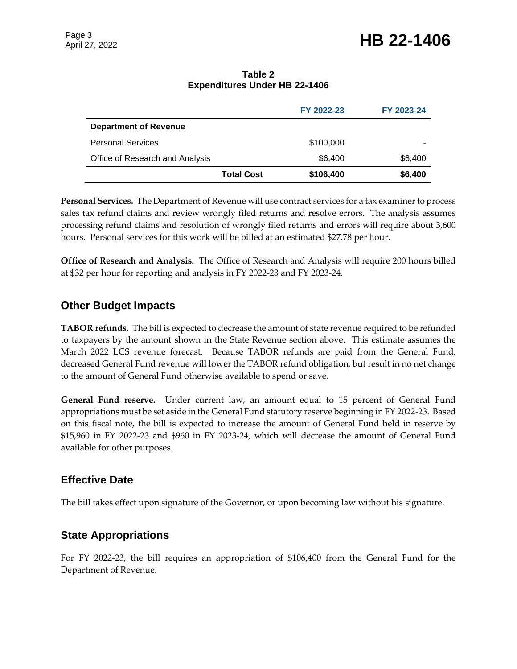## April 27, 2022 **HB 22-1406**

#### **Table 2 Expenditures Under HB 22-1406**

|                                 |                   | FY 2022-23 | FY 2023-24 |
|---------------------------------|-------------------|------------|------------|
| <b>Department of Revenue</b>    |                   |            |            |
| <b>Personal Services</b>        |                   | \$100,000  |            |
| Office of Research and Analysis |                   | \$6,400    | \$6,400    |
|                                 | <b>Total Cost</b> | \$106,400  | \$6,400    |

**Personal Services.** The Department of Revenue will use contract services for a tax examiner to process sales tax refund claims and review wrongly filed returns and resolve errors. The analysis assumes processing refund claims and resolution of wrongly filed returns and errors will require about 3,600 hours. Personal services for this work will be billed at an estimated \$27.78 per hour.

**Office of Research and Analysis.** The Office of Research and Analysis will require 200 hours billed at \$32 per hour for reporting and analysis in FY 2022-23 and FY 2023-24.

## **Other Budget Impacts**

**TABOR refunds.** The bill is expected to decrease the amount of state revenue required to be refunded to taxpayers by the amount shown in the State Revenue section above. This estimate assumes the March 2022 LCS revenue forecast.Because TABOR refunds are paid from the General Fund, decreased General Fund revenue will lower the TABOR refund obligation, but result in no net change to the amount of General Fund otherwise available to spend or save.

**General Fund reserve.** Under current law, an amount equal to 15 percent of General Fund appropriations must be set aside in the General Fund statutory reserve beginning in FY 2022-23. Based on this fiscal note, the bill is expected to increase the amount of General Fund held in reserve by \$15,960 in FY 2022-23 and \$960 in FY 2023-24, which will decrease the amount of General Fund available for other purposes.

### **Effective Date**

The bill takes effect upon signature of the Governor, or upon becoming law without his signature.

## **State Appropriations**

For FY 2022-23, the bill requires an appropriation of \$106,400 from the General Fund for the Department of Revenue.